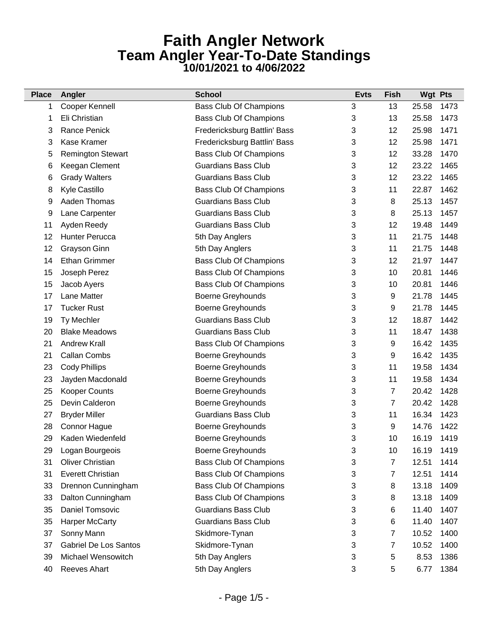| <b>Place</b> | Angler                       | <b>School</b>                 | <b>Evts</b> | <b>Fish</b> | <b>Wgt Pts</b> |  |
|--------------|------------------------------|-------------------------------|-------------|-------------|----------------|--|
| 1            | Cooper Kennell               | <b>Bass Club Of Champions</b> | 3           | 13          | 1473<br>25.58  |  |
| 1            | Eli Christian                | <b>Bass Club Of Champions</b> | 3           | 13          | 25.58<br>1473  |  |
| 3            | <b>Rance Penick</b>          | Fredericksburg Battlin' Bass  | 3           | 12          | 25.98<br>1471  |  |
| 3            | Kase Kramer                  | Fredericksburg Battlin' Bass  | 3           | 12          | 25.98<br>1471  |  |
| 5            | <b>Remington Stewart</b>     | <b>Bass Club Of Champions</b> | 3           | 12          | 33.28<br>1470  |  |
| 6            | Keegan Clement               | <b>Guardians Bass Club</b>    | 3           | 12          | 23.22<br>1465  |  |
| 6            | <b>Grady Walters</b>         | <b>Guardians Bass Club</b>    | 3           | 12          | 23.22<br>1465  |  |
| 8            | Kyle Castillo                | <b>Bass Club Of Champions</b> | 3           | 11          | 22.87<br>1462  |  |
| 9            | Aaden Thomas                 | <b>Guardians Bass Club</b>    | 3           | 8           | 25.13<br>1457  |  |
| 9            | Lane Carpenter               | <b>Guardians Bass Club</b>    | 3           | 8           | 25.13<br>1457  |  |
| 11           | Ayden Reedy                  | <b>Guardians Bass Club</b>    | 3           | 12          | 19.48<br>1449  |  |
| 12           | <b>Hunter Perucca</b>        | 5th Day Anglers               | 3           | 11          | 1448<br>21.75  |  |
| 12           | Grayson Ginn                 | 5th Day Anglers               | 3           | 11          | 1448<br>21.75  |  |
| 14           | <b>Ethan Grimmer</b>         | <b>Bass Club Of Champions</b> | 3           | 12          | 21.97<br>1447  |  |
| 15           | Joseph Perez                 | <b>Bass Club Of Champions</b> | 3           | 10          | 20.81<br>1446  |  |
| 15           | Jacob Ayers                  | <b>Bass Club Of Champions</b> | 3           | 10          | 20.81<br>1446  |  |
| 17           | Lane Matter                  | <b>Boerne Greyhounds</b>      | 3           | 9           | 21.78<br>1445  |  |
| 17           | <b>Tucker Rust</b>           | <b>Boerne Greyhounds</b>      | 3           | 9           | 21.78<br>1445  |  |
| 19           | Ty Mechler                   | <b>Guardians Bass Club</b>    | 3           | 12          | 18.87<br>1442  |  |
| 20           | <b>Blake Meadows</b>         | <b>Guardians Bass Club</b>    | 3           | 11          | 18.47<br>1438  |  |
| 21           | <b>Andrew Krall</b>          | <b>Bass Club Of Champions</b> | 3           | 9           | 16.42<br>1435  |  |
| 21           | <b>Callan Combs</b>          | <b>Boerne Greyhounds</b>      | 3           | 9           | 16.42<br>1435  |  |
| 23           | <b>Cody Phillips</b>         | Boerne Greyhounds             | 3           | 11          | 19.58<br>1434  |  |
| 23           | Jayden Macdonald             | Boerne Greyhounds             | 3           | 11          | 19.58<br>1434  |  |
| 25           | Kooper Counts                | Boerne Greyhounds             | 3           | 7           | 20.42<br>1428  |  |
| 25           | Devin Calderon               | Boerne Greyhounds             | 3           | 7           | 20.42<br>1428  |  |
| 27           | <b>Bryder Miller</b>         | <b>Guardians Bass Club</b>    | 3           | 11          | 16.34<br>1423  |  |
| 28           | Connor Hague                 | Boerne Greyhounds             | 3           | 9           | 14.76<br>1422  |  |
| 29           | Kaden Wiedenfeld             | Boerne Greyhounds             | 3           | 10          | 16.19<br>1419  |  |
| 29           | Logan Bourgeois              | <b>Boerne Greyhounds</b>      | 3           | 10          | 1419<br>16.19  |  |
| 31           | <b>Oliver Christian</b>      | <b>Bass Club Of Champions</b> | 3           | 7           | 12.51<br>1414  |  |
| 31           | <b>Everett Christian</b>     | <b>Bass Club Of Champions</b> | 3           | 7           | 12.51<br>1414  |  |
| 33           | Drennon Cunningham           | <b>Bass Club Of Champions</b> | 3           | 8           | 13.18<br>1409  |  |
| 33           | Dalton Cunningham            | <b>Bass Club Of Champions</b> | 3           | 8           | 13.18<br>1409  |  |
| 35           | <b>Daniel Tomsovic</b>       | <b>Guardians Bass Club</b>    | 3           | 6           | 1407<br>11.40  |  |
| 35           | <b>Harper McCarty</b>        | <b>Guardians Bass Club</b>    | 3           | 6           | 11.40<br>1407  |  |
| 37           | Sonny Mann                   | Skidmore-Tynan                | 3           | 7           | 10.52<br>1400  |  |
| 37           | <b>Gabriel De Los Santos</b> | Skidmore-Tynan                | 3           | 7           | 10.52<br>1400  |  |
| 39           | Michael Wensowitch           | 5th Day Anglers               | 3           | 5           | 8.53<br>1386   |  |
| 40           | Reeves Ahart                 | 5th Day Anglers               | 3           | 5           | 1384<br>6.77   |  |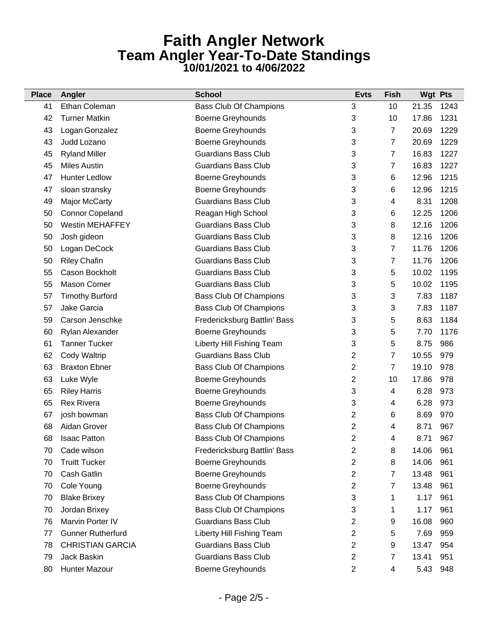| <b>Place</b> | Angler                   | <b>School</b>                 | <b>Evts</b>    | <b>Fish</b>    | <b>Wgt Pts</b> |      |
|--------------|--------------------------|-------------------------------|----------------|----------------|----------------|------|
| 41           | Ethan Coleman            | <b>Bass Club Of Champions</b> | 3              | 10             | 21.35          | 1243 |
| 42           | <b>Turner Matkin</b>     | Boerne Greyhounds             | 3              | 10             | 17.86          | 1231 |
| 43           | Logan Gonzalez           | Boerne Greyhounds             | 3              | $\overline{7}$ | 20.69          | 1229 |
| 43           | Judd Lozano              | Boerne Greyhounds             | 3              | $\overline{7}$ | 20.69          | 1229 |
| 45           | <b>Ryland Miller</b>     | <b>Guardians Bass Club</b>    | 3              | 7              | 16.83          | 1227 |
| 45           | <b>Miles Austin</b>      | <b>Guardians Bass Club</b>    | 3              | 7              | 16.83          | 1227 |
| 47           | <b>Hunter Ledlow</b>     | Boerne Greyhounds             | 3              | 6              | 12.96          | 1215 |
| 47           | sloan stransky           | Boerne Greyhounds             | 3              | 6              | 12.96          | 1215 |
| 49           | <b>Major McCarty</b>     | <b>Guardians Bass Club</b>    | 3              | 4              | 8.31           | 1208 |
| 50           | <b>Connor Copeland</b>   | Reagan High School            | 3              | 6              | 12.25          | 1206 |
| 50           | <b>Westin MEHAFFEY</b>   | <b>Guardians Bass Club</b>    | 3              | 8              | 12.16          | 1206 |
| 50           | Josh gideon              | <b>Guardians Bass Club</b>    | 3              | 8              | 12.16          | 1206 |
| 50           | Logan DeCock             | <b>Guardians Bass Club</b>    | 3              | 7              | 11.76          | 1206 |
| 50           | <b>Riley Chafin</b>      | <b>Guardians Bass Club</b>    | 3              | 7              | 11.76          | 1206 |
| 55           | Cason Bockholt           | <b>Guardians Bass Club</b>    | 3              | 5              | 10.02          | 1195 |
| 55           | <b>Mason Comer</b>       | <b>Guardians Bass Club</b>    | 3              | 5              | 10.02          | 1195 |
| 57           | <b>Timothy Burford</b>   | <b>Bass Club Of Champions</b> | 3              | 3              | 7.83           | 1187 |
| 57           | Jake Garcia              | <b>Bass Club Of Champions</b> | 3              | 3              | 7.83           | 1187 |
| 59           | Carson Jenschke          | Fredericksburg Battlin' Bass  | 3              | 5              | 8.63           | 1184 |
| 60           | Rylan Alexander          | Boerne Greyhounds             | 3              | 5              | 7.70           | 1176 |
| 61           | <b>Tanner Tucker</b>     | Liberty Hill Fishing Team     | 3              | 5              | 8.75           | 986  |
| 62           | <b>Cody Waltrip</b>      | <b>Guardians Bass Club</b>    | 2              | 7              | 10.55          | 979  |
| 63           | <b>Braxton Ebner</b>     | <b>Bass Club Of Champions</b> | 2              | 7              | 19.10          | 978  |
| 63           | Luke Wyle                | Boerne Greyhounds             | $\overline{2}$ | 10             | 17.86          | 978  |
| 65           | <b>Riley Harris</b>      | Boerne Greyhounds             | 3              | 4              | 6.28           | 973  |
| 65           | <b>Rex Rivera</b>        | Boerne Greyhounds             | 3              | 4              | 6.28           | 973  |
| 67           | josh bowman              | <b>Bass Club Of Champions</b> | 2              | 6              | 8.69           | 970  |
| 68           | Aidan Grover             | <b>Bass Club Of Champions</b> | 2              | 4              | 8.71           | 967  |
| 68           | <b>Isaac Patton</b>      | <b>Bass Club Of Champions</b> | $\overline{2}$ | 4              | 8.71           | 967  |
| 70           | Cade wilson              | Fredericksburg Battlin' Bass  | 2              | 8              | 14.06          | 961  |
| 70           | <b>Truitt Tucker</b>     | Boerne Greyhounds             | 2              | 8              | 14.06          | 961  |
| 70           | <b>Cash Gatlin</b>       | Boerne Greyhounds             | 2              | 7              | 13.48          | 961  |
| 70           | Cole Young               | Boerne Greyhounds             | 2              | 7              | 13.48          | 961  |
| 70           | <b>Blake Brixey</b>      | <b>Bass Club Of Champions</b> | 3              | 1              | 1.17           | 961  |
| 70           | Jordan Brixey            | <b>Bass Club Of Champions</b> | 3              | 1              | 1.17           | 961  |
| 76           | Marvin Porter IV         | <b>Guardians Bass Club</b>    | $\overline{2}$ | 9              | 16.08          | 960  |
| 77           | <b>Gunner Rutherfurd</b> | Liberty Hill Fishing Team     | 2              | 5              | 7.69           | 959  |
| 78           | <b>CHRISTIAN GARCIA</b>  | <b>Guardians Bass Club</b>    | 2              | 9              | 13.47          | 954  |
| 79           | Jack Baskin              | <b>Guardians Bass Club</b>    | 2              | 7              | 13.41          | 951  |
| 80           | Hunter Mazour            | Boerne Greyhounds             | 2              | 4              | 5.43           | 948  |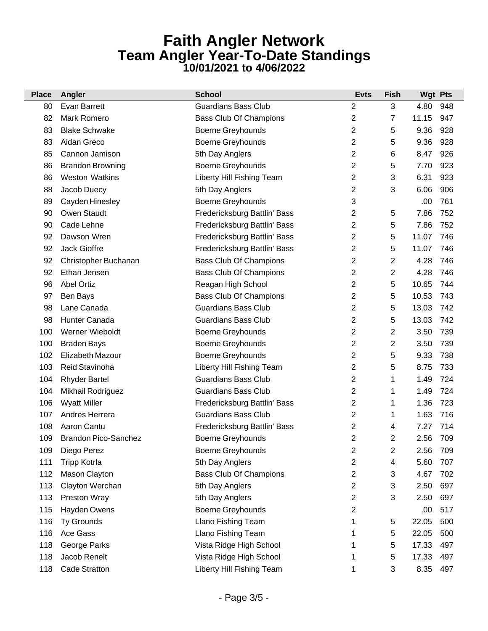| <b>Place</b> | Angler                      | <b>School</b>                 | <b>Evts</b>    | <b>Fish</b>    | <b>Wgt Pts</b> |     |
|--------------|-----------------------------|-------------------------------|----------------|----------------|----------------|-----|
| 80           | Evan Barrett                | <b>Guardians Bass Club</b>    | $\overline{2}$ | 3              | 4.80           | 948 |
| 82           | Mark Romero                 | <b>Bass Club Of Champions</b> | 2              | 7              | 11.15          | 947 |
| 83           | <b>Blake Schwake</b>        | <b>Boerne Greyhounds</b>      | 2              | 5              | 9.36           | 928 |
| 83           | Aidan Greco                 | <b>Boerne Greyhounds</b>      | 2              | 5              | 9.36           | 928 |
| 85           | Cannon Jamison              | 5th Day Anglers               | 2              | 6              | 8.47           | 926 |
| 86           | <b>Brandon Browning</b>     | Boerne Greyhounds             | 2              | 5              | 7.70           | 923 |
| 86           | <b>Weston Watkins</b>       | Liberty Hill Fishing Team     | 2              | 3              | 6.31           | 923 |
| 88           | Jacob Duecy                 | 5th Day Anglers               | 2              | 3              | 6.06           | 906 |
| 89           | Cayden Hinesley             | Boerne Greyhounds             | 3              |                | .00            | 761 |
| 90           | Owen Staudt                 | Fredericksburg Battlin' Bass  | 2              | 5              | 7.86           | 752 |
| 90           | Cade Lehne                  | Fredericksburg Battlin' Bass  | 2              | 5              | 7.86           | 752 |
| 92           | Dawson Wren                 | Fredericksburg Battlin' Bass  | 2              | 5              | 11.07          | 746 |
| 92           | Jack Gioffre                | Fredericksburg Battlin' Bass  | 2              | 5              | 11.07          | 746 |
| 92           | Christopher Buchanan        | <b>Bass Club Of Champions</b> | 2              | 2              | 4.28           | 746 |
| 92           | Ethan Jensen                | <b>Bass Club Of Champions</b> | 2              | $\overline{2}$ | 4.28           | 746 |
| 96           | <b>Abel Ortiz</b>           | Reagan High School            | 2              | 5              | 10.65          | 744 |
| 97           | Ben Bays                    | <b>Bass Club Of Champions</b> | 2              | 5              | 10.53          | 743 |
| 98           | Lane Canada                 | <b>Guardians Bass Club</b>    | 2              | 5              | 13.03          | 742 |
| 98           | Hunter Canada               | <b>Guardians Bass Club</b>    | 2              | 5              | 13.03          | 742 |
| 100          | Werner Wieboldt             | Boerne Greyhounds             | 2              | 2              | 3.50           | 739 |
| 100          | <b>Braden Bays</b>          | Boerne Greyhounds             | 2              | 2              | 3.50           | 739 |
| 102          | Elizabeth Mazour            | Boerne Greyhounds             | 2              | 5              | 9.33           | 738 |
| 103          | Reid Stavinoha              | Liberty Hill Fishing Team     | 2              | 5              | 8.75           | 733 |
| 104          | <b>Rhyder Bartel</b>        | <b>Guardians Bass Club</b>    | 2              | 1              | 1.49           | 724 |
| 104          | Mikhail Rodriguez           | <b>Guardians Bass Club</b>    | 2              | 1              | 1.49           | 724 |
| 106          | <b>Wyatt Miller</b>         | Fredericksburg Battlin' Bass  | 2              | 1              | 1.36           | 723 |
| 107          | Andres Herrera              | <b>Guardians Bass Club</b>    | 2              | 1              | 1.63           | 716 |
| 108          | Aaron Cantu                 | Fredericksburg Battlin' Bass  | 2              | 4              | 7.27           | 714 |
| 109          | <b>Brandon Pico-Sanchez</b> | Boerne Greyhounds             | 2              | 2              | 2.56           | 709 |
| 109          | Diego Perez                 | <b>Boerne Greyhounds</b>      | 2              | 2              | 2.56           | 709 |
| 111          | <b>Tripp Kotrla</b>         | 5th Day Anglers               | 2              | 4              | 5.60           | 707 |
| 112          | Mason Clayton               | <b>Bass Club Of Champions</b> | 2              | 3              | 4.67           | 702 |
| 113          | Clayton Werchan             | 5th Day Anglers               | 2              | 3              | 2.50           | 697 |
| 113          | Preston Wray                | 5th Day Anglers               | 2              | 3              | 2.50           | 697 |
| 115          | Hayden Owens                | Boerne Greyhounds             | 2              |                | .00            | 517 |
| 116          | Ty Grounds                  | Llano Fishing Team            | 1              | 5              | 22.05          | 500 |
| 116          | Ace Gass                    | Llano Fishing Team            | 1              | 5              | 22.05          | 500 |
| 118          | George Parks                | Vista Ridge High School       |                | 5              | 17.33          | 497 |
| 118          | Jacob Renelt                | Vista Ridge High School       | 1              | 5              | 17.33          | 497 |
| 118          | <b>Cade Stratton</b>        | Liberty Hill Fishing Team     | 1              | 3              | 8.35           | 497 |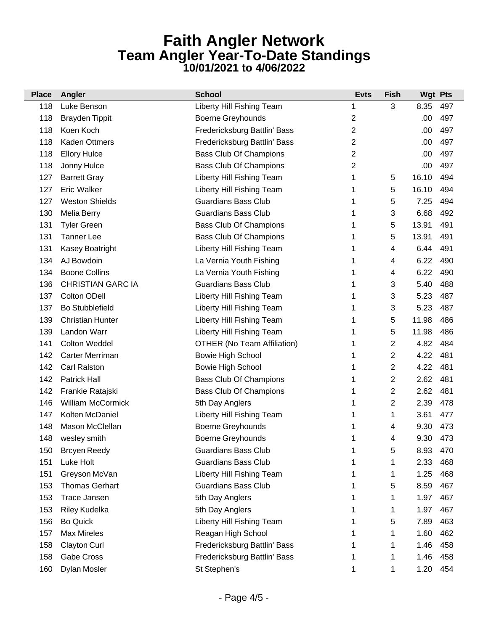| <b>Place</b> | Angler                   | <b>School</b>                      | <b>Evts</b> | <b>Fish</b>    | <b>Wgt Pts</b> |     |
|--------------|--------------------------|------------------------------------|-------------|----------------|----------------|-----|
| 118          | Luke Benson              | Liberty Hill Fishing Team          | 1           | 3              | 8.35           | 497 |
| 118          | <b>Brayden Tippit</b>    | Boerne Greyhounds                  | 2           |                | .00            | 497 |
| 118          | Koen Koch                | Fredericksburg Battlin' Bass       | 2           |                | .00            | 497 |
| 118          | <b>Kaden Ottmers</b>     | Fredericksburg Battlin' Bass       | 2           |                | .00            | 497 |
| 118          | <b>Ellory Hulce</b>      | Bass Club Of Champions             | 2           |                | .00            | 497 |
| 118          | Jonny Hulce              | <b>Bass Club Of Champions</b>      | 2           |                | .00            | 497 |
| 127          | <b>Barrett Gray</b>      | Liberty Hill Fishing Team          | 1           | 5              | 16.10          | 494 |
| 127          | <b>Eric Walker</b>       | Liberty Hill Fishing Team          | 1           | 5              | 16.10          | 494 |
| 127          | <b>Weston Shields</b>    | <b>Guardians Bass Club</b>         | 1           | 5              | 7.25           | 494 |
| 130          | <b>Melia Berry</b>       | <b>Guardians Bass Club</b>         | 1           | 3              | 6.68           | 492 |
| 131          | <b>Tyler Green</b>       | <b>Bass Club Of Champions</b>      |             | 5              | 13.91          | 491 |
| 131          | <b>Tanner Lee</b>        | <b>Bass Club Of Champions</b>      | 1           | 5              | 13.91          | 491 |
| 131          | Kasey Boatright          | Liberty Hill Fishing Team          | 1           | 4              | 6.44           | 491 |
| 134          | AJ Bowdoin               | La Vernia Youth Fishing            | 1           | 4              | 6.22           | 490 |
| 134          | <b>Boone Collins</b>     | La Vernia Youth Fishing            |             | 4              | 6.22           | 490 |
| 136          | <b>CHRISTIAN GARC IA</b> | <b>Guardians Bass Club</b>         | 1           | 3              | 5.40           | 488 |
| 137          | <b>Colton ODell</b>      | Liberty Hill Fishing Team          | 1           | 3              | 5.23           | 487 |
| 137          | <b>Bo Stubblefield</b>   | Liberty Hill Fishing Team          | 1           | 3              | 5.23           | 487 |
| 139          | <b>Christian Hunter</b>  | Liberty Hill Fishing Team          | 1           | 5              | 11.98          | 486 |
| 139          | Landon Warr              | Liberty Hill Fishing Team          | 1           | 5              | 11.98          | 486 |
| 141          | <b>Colton Weddel</b>     | <b>OTHER (No Team Affiliation)</b> | 1           | 2              | 4.82           | 484 |
| 142          | Carter Merriman          | <b>Bowie High School</b>           | 1           | 2              | 4.22           | 481 |
| 142          | <b>Carl Ralston</b>      | <b>Bowie High School</b>           | 1           | $\overline{2}$ | 4.22           | 481 |
| 142          | <b>Patrick Hall</b>      | <b>Bass Club Of Champions</b>      | 1           | $\overline{2}$ | 2.62           | 481 |
| 142          | Frankie Ratajski         | <b>Bass Club Of Champions</b>      | 1           | 2              | 2.62           | 481 |
| 146          | <b>William McCormick</b> | 5th Day Anglers                    | 1           | $\overline{2}$ | 2.39           | 478 |
| 147          | Kolten McDaniel          | Liberty Hill Fishing Team          | 1           | 1              | 3.61           | 477 |
| 148          | Mason McClellan          | Boerne Greyhounds                  | 1           | 4              | 9.30           | 473 |
| 148          | wesley smith             | Boerne Greyhounds                  | 1           | 4              | 9.30           | 473 |
| 150          | <b>Brcyen Reedy</b>      | <b>Guardians Bass Club</b>         |             | 5              | 8.93           | 470 |
| 151          | Luke Holt                | <b>Guardians Bass Club</b>         |             | 1              | 2.33           | 468 |
| 151          | Greyson McVan            | Liberty Hill Fishing Team          |             | 1              | 1.25           | 468 |
| 153          | <b>Thomas Gerhart</b>    | <b>Guardians Bass Club</b>         |             | 5              | 8.59           | 467 |
| 153          | <b>Trace Jansen</b>      | 5th Day Anglers                    |             | 1              | 1.97           | 467 |
| 153          | Riley Kudelka            | 5th Day Anglers                    |             | 1              | 1.97           | 467 |
| 156          | <b>Bo Quick</b>          | Liberty Hill Fishing Team          |             | 5              | 7.89           | 463 |
| 157          | <b>Max Mireles</b>       | Reagan High School                 |             | 1              | 1.60           | 462 |
| 158          | <b>Clayton Curl</b>      | Fredericksburg Battlin' Bass       |             | 1              | 1.46           | 458 |
| 158          | <b>Gabe Cross</b>        | Fredericksburg Battlin' Bass       |             | 1              | 1.46           | 458 |
| 160          | Dylan Mosler             | St Stephen's                       | 1           | 1              | 1.20           | 454 |